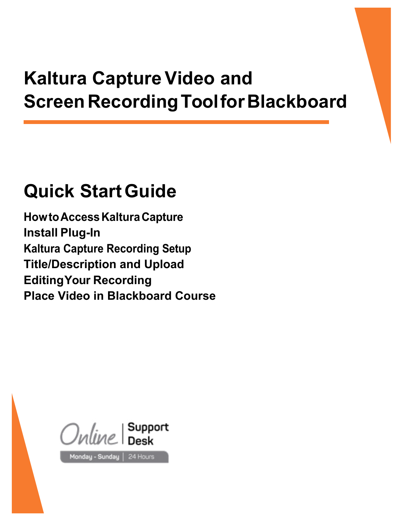# **Kaltura Capture Video and ScreenRecordingToolforBlackboard**

## **Quick StartGuide**

**HowtoAccessKalturaCapture Install Plug-In Kaltura Capture Recording Setup Title/Description and Upload EditingYour Recording Place Video in Blackboard Course**

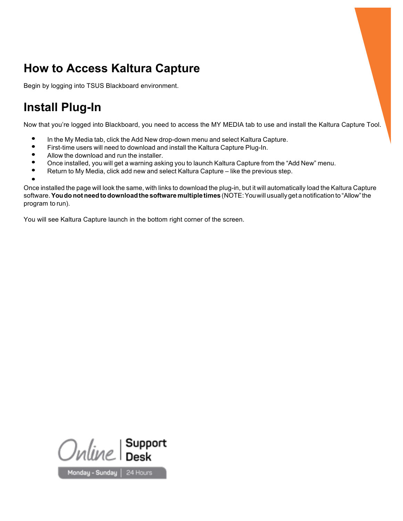## **How to Access Kaltura Capture**

Begin by logging into TSUS Blackboard environment.

## **Install Plug-In**

Now that you're logged into Blackboard, you need to access the MY MEDIA tab to use and install the Kaltura Capture Tool.

- **•** In the My Media tab, click the Add New drop-down menu and select Kaltura Capture.<br>• First-time users will need to download and install the Kaltura Capture Plug-In
- **•** First-time users will need to download and install the Kaltura Capture Plug-In.<br>• Allow the download and run the installer
- Allow the download and run the installer.<br>• Once installed you will get a warning ask
- Once installed, you will get a warning asking you to launch Kaltura Capture from the "Add New" menu.<br>● Return to My Media, click add new and select Kaltura Capture like the previous step
- **•** Return to My Media, click add new and select Kaltura Capture like the previous step.

**•**

Once installed the page will look the same, with links to download the plug-in, but it will automatically load the Kaltura Capture software.**Youdonotneedtodownloadthe software multipletimes** (NOTE:Youwill usually get a notification to "Allow"the program to run).

You will see Kaltura Capture launch in the bottom right corner of the screen.



Monday - Sunday | 24 Hours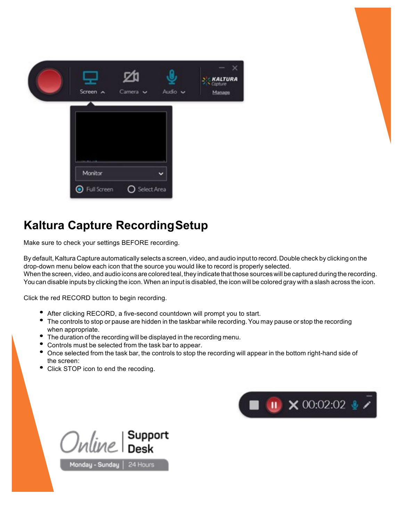| Screen $\land$ | Camera v      | Audio v | $\frac{1}{2}$ <b>KALTURA</b><br>Manage |
|----------------|---------------|---------|----------------------------------------|
|                |               |         |                                        |
| Monitor        |               |         |                                        |
| Full Screen    | O Select Area |         |                                        |

#### **Kaltura Capture RecordingSetup**

Make sure to check your settings BEFORE recording.

By default, Kaltura Capture automatically selects a screen, video, and audio input to record. Double check by clicking on the drop-down menu below each icon that the source you would like to record is properly selected. When the screen, video, and audio icons are colored teal, they indicate that those sources will be captured during the recording. Youcan disable inputs by clicking the icon.When an input is disabled, the icon will be colored gray with a slash across the icon.

Click the red RECORD button to begin recording.

- After clicking RECORD, a five-second countdown will prompt you to start.
- The controls to stop or pause are hidden in the taskbar while recording. You may pause or stop the recording when appropriate.
- The duration of the recording will be displayed in the recording menu.
- Controls must be selected from the task bar to appear.
- Once selected from the task bar, the controls to stop the recording will appear in the bottom right-hand side of the screen:
- Click STOP icon to end the recoding.



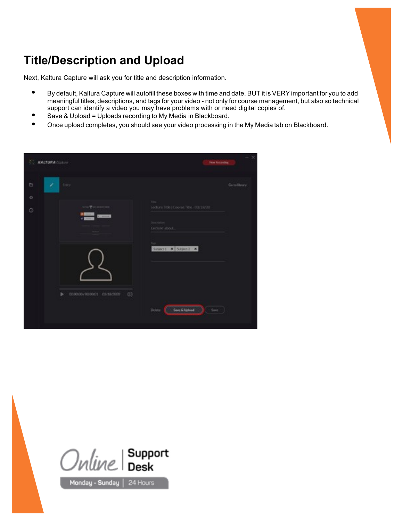#### **Title/Description and Upload**

Next, Kaltura Capture will ask you for title and description information.

- **•** By default, Kaltura Capture will autofill these boxes with time and date. BUT it is VERY important for you to add meaningful titles, descriptions, and tags for your video - not only for course management, but also so technical support can identify a video you may have problems with or need digital copies of.
- **•** Save & Upload <sup>=</sup> Uploads recording to My Media in Blackboard.
- **•** Once upload completes, you should see your video processing in the My Media tab on Blackboard.

| <b>KALTURA</b> Costure            | New Recording                                                                                |
|-----------------------------------|----------------------------------------------------------------------------------------------|
| $\Box$<br>×<br>firty              | Gotalibrary                                                                                  |
| ¢.                                | <b>Side:</b>                                                                                 |
| To 16<br>$\circ$                  | Liechung Title   Course Title - 03/18/20 -<br>$D\bar{D}\bar{D}$ (spinster)<br>tecture about. |
| 000000/000001 03/38/2020 03<br>b. | Subject 1 3.0 pct 2 x                                                                        |
|                                   | Defete.<br>Save & Upload<br>Save                                                             |